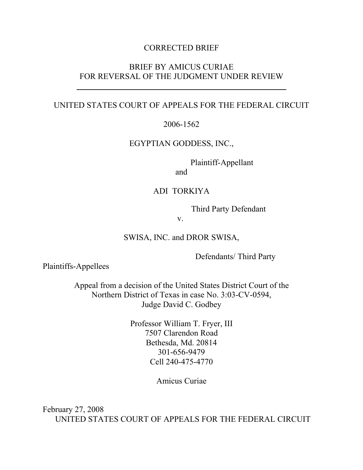### CORRECTED BRIEF

## BRIEF BY AMICUS CURIAE FOR REVERSAL OF THE JUDGMENT UNDER REVIEW

### UNITED STATES COURT OF APPEALS FOR THE FEDERAL CIRCUIT

2006-1562

EGYPTIAN GODDESS, INC.,

Plaintiff-Appellant

and

### ADI TORKIYA

Third Party Defendant

v.

SWISA, INC. and DROR SWISA,

Defendants/ Third Party

Plaintiffs-Appellees

 $\overline{a}$ 

Appeal from a decision of the United States District Court of the Northern District of Texas in case No. 3:03-CV-0594, Judge David C. Godbey

> Professor William T. Fryer, III 7507 Clarendon Road Bethesda, Md. 20814 301-656-9479 Cell 240-475-4770

> > Amicus Curiae

February 27, 2008 UNITED STATES COURT OF APPEALS FOR THE FEDERAL CIRCUIT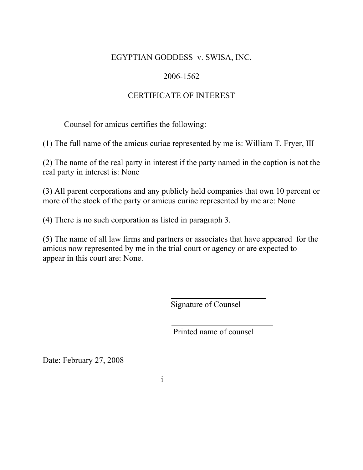## EGYPTIAN GODDESS v. SWISA, INC.

# 2006-1562

# CERTIFICATE OF INTEREST

Counsel for amicus certifies the following:

(1) The full name of the amicus curiae represented by me is: William T. Fryer, III

(2) The name of the real party in interest if the party named in the caption is not the real party in interest is: None

(3) All parent corporations and any publicly held companies that own 10 percent or more of the stock of the party or amicus curiae represented by me are: None

(4) There is no such corporation as listed in paragraph 3.

(5) The name of all law firms and partners or associates that have appeared for the amicus now represented by me in the trial court or agency or are expected to appear in this court are: None.

Signature of Counsel

Printed name of counsel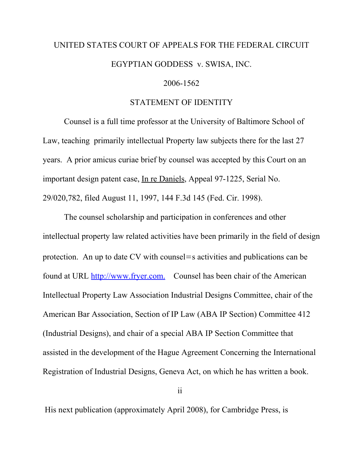# UNITED STATES COURT OF APPEALS FOR THE FEDERAL CIRCUIT EGYPTIAN GODDESS v. SWISA, INC.

#### 2006-1562

#### STATEMENT OF IDENTITY

Counsel is a full time professor at the University of Baltimore School of Law, teaching primarily intellectual Property law subjects there for the last 27 years. A prior amicus curiae brief by counsel was accepted by this Court on an important design patent case, In re Daniels, Appeal 97-1225, Serial No. 29/020,782, filed August 11, 1997, 144 F.3d 145 (Fed. Cir. 1998).

The counsel scholarship and participation in conferences and other intellectual property law related activities have been primarily in the field of design protection. An up to date CV with counsel=s activities and publications can be found at URL http://www.fryer.com. Counsel has been chair of the American Intellectual Property Law Association Industrial Designs Committee, chair of the American Bar Association, Section of IP Law (ABA IP Section) Committee 412 (Industrial Designs), and chair of a special ABA IP Section Committee that assisted in the development of the Hague Agreement Concerning the International Registration of Industrial Designs, Geneva Act, on which he has written a book.

ii in de la provincia de la construcción de la construcción de la construcción de la construcción de la constr<br>En la construcción de la construcción de la construcción de la construcción de la construcción de la construcc

His next publication (approximately April 2008), for Cambridge Press, is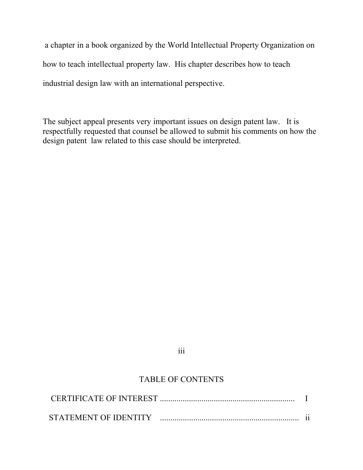a chapter in a book organized by the World Intellectual Property Organization on how to teach intellectual property law. His chapter describes how to teach industrial design law with an international perspective.

The subject appeal presents very important issues on design patent law. It is respectfully requested that counsel be allowed to submit his comments on how the design patent law related to this case should be interpreted.

# iii

# TABLE OF CONTENTS

| CERTIFICATE OF INTEREST . |  |
|---------------------------|--|
| STATEMENT OF IDENTITY     |  |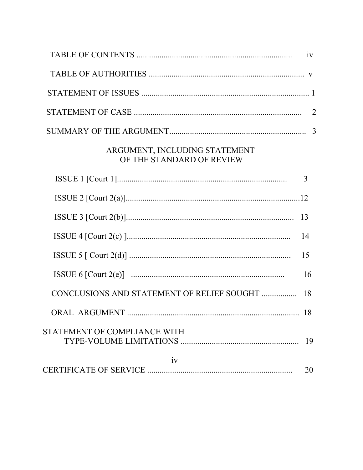|                                                            | iv             |
|------------------------------------------------------------|----------------|
|                                                            |                |
|                                                            |                |
|                                                            | $\overline{2}$ |
|                                                            |                |
| ARGUMENT, INCLUDING STATEMENT<br>OF THE STANDARD OF REVIEW |                |
|                                                            | 3              |
|                                                            |                |
|                                                            | -13            |
|                                                            | 14             |
|                                                            | 15             |
|                                                            | 16             |
| CONCLUSIONS AND STATEMENT OF RELIEF SOUGHT                 | 18             |
| ORAL ARGUMENT.                                             | 18             |
| STATEMENT OF COMPLIANCE WITH                               | 19             |
| iv                                                         | 20             |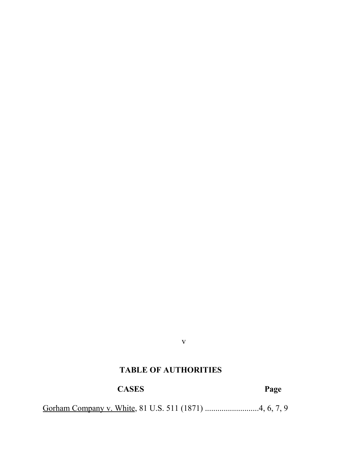#### v

# **TABLE OF AUTHORITIES**

# **CASES Page**

Gorham Company v. White, 81 U.S. 511 (1871) .............................4, 6, 7, 9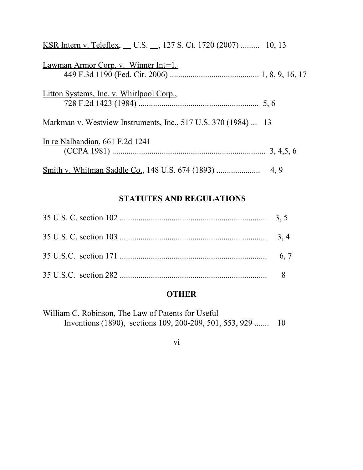| <u>KSR Intern v. Teleflex, U.S. _, 127 S. Ct. 1720 (2007)</u> 10, 13 |  |
|----------------------------------------------------------------------|--|
| Lawman Armor Corp. v. Winner Int=1.                                  |  |
| Litton Systems, Inc. v. Whirlpool Corp.,                             |  |
| Markman v. Westview Instruments, Inc., 517 U.S. 370 (1984)  13       |  |
| In re Nalbandian, 661 F.2d 1241                                      |  |
|                                                                      |  |

# **STATUTES AND REGULATIONS**

### **OTHER**

vi

William C. Robinson, The Law of Patents for Useful Inventions (1890), sections 109, 200-209, 501, 553, 929 ....... 10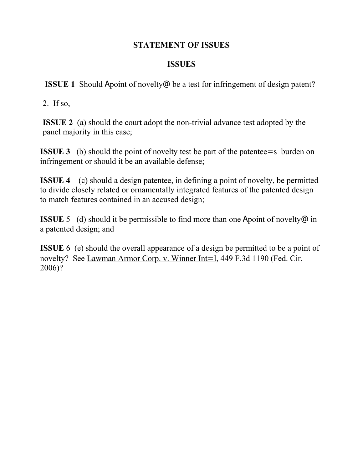## **STATEMENT OF ISSUES**

## **ISSUES**

**ISSUE 1** Should Apoint of novelty@ be a test for infringement of design patent?

2. If so,

**ISSUE 2** (a) should the court adopt the non-trivial advance test adopted by the panel majority in this case;

**ISSUE 3** (b) should the point of novelty test be part of the patentee = s burden on infringement or should it be an available defense;

**ISSUE 4** (c) should a design patentee, in defining a point of novelty, be permitted to divide closely related or ornamentally integrated features of the patented design to match features contained in an accused design;

**ISSUE** 5 (d) should it be permissible to find more than one Apoint of novelty  $\omega$  in a patented design; and

**ISSUE** 6 (e) should the overall appearance of a design be permitted to be a point of novelty? See Lawman Armor Corp. v. Winner Int=1, 449 F.3d 1190 (Fed. Cir, 2006)?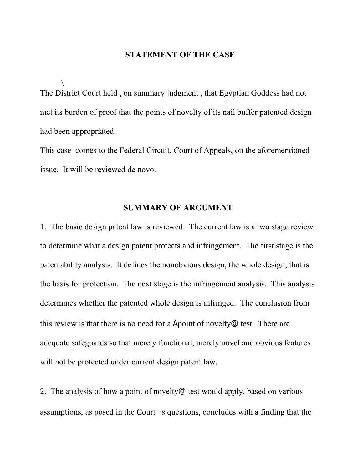#### **STATEMENT OF THE CASE**

 $\setminus$ The District Court held , on summary judgment , that Egyptian Goddess had not met its burden of proof that the points of novelty of its nail buffer patented design had been appropriated.

This case comes to the Federal Circuit, Court of Appeals, on the aforementioned issue. It will be reviewed de novo.

#### **SUMMARY OF ARGUMENT**

1. The basic design patent law is reviewed. The current law is a two stage review to determine what a design patent protects and infringement. The first stage is the patentability analysis. It defines the nonobvious design, the whole design, that is the basis for protection. The next stage is the infringement analysis. This analysis determines whether the patented whole design is infringed. The conclusion from this review is that there is no need for a Apoint of novelty@ test. There are adequate safeguards so that merely functional, merely novel and obvious features will not be protected under current design patent law.

2. The analysis of how a point of novelty@ test would apply, based on various assumptions, as posed in the Court=s questions, concludes with a finding that the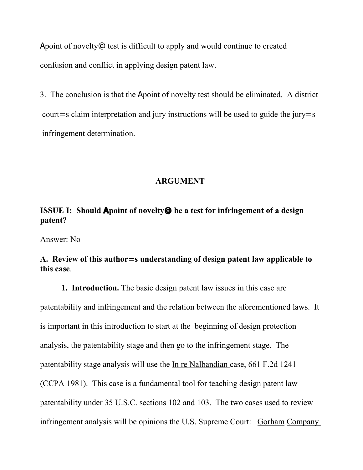Apoint of novelty@ test is difficult to apply and would continue to created confusion and conflict in applying design patent law.

3. The conclusion is that the Apoint of novelty test should be eliminated. A district court=s claim interpretation and jury instructions will be used to guide the jury=s infringement determination.

#### **ARGUMENT**

# **ISSUE I: Should Apoint of novelty@ be a test for infringement of a design patent?**

Answer: No

## **A. Review of this author**=**s understanding of design patent law applicable to this case**.

**1. Introduction.** The basic design patent law issues in this case are patentability and infringement and the relation between the aforementioned laws. It is important in this introduction to start at the beginning of design protection analysis, the patentability stage and then go to the infringement stage. The patentability stage analysis will use the In re Nalbandian case, 661 F.2d 1241 (CCPA 1981). This case is a fundamental tool for teaching design patent law patentability under 35 U.S.C. sections 102 and 103. The two cases used to review infringement analysis will be opinions the U.S. Supreme Court: Gorham Company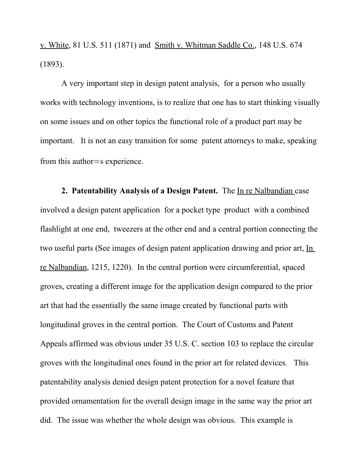v. White, 81 U.S. 511 (1871) and Smith v. Whitman Saddle Co., 148 U.S. 674 (1893).

A very important step in design patent analysis, for a person who usually works with technology inventions, is to realize that one has to start thinking visually on some issues and on other topics the functional role of a product part may be important. It is not an easy transition for some patent attorneys to make, speaking from this author=s experience.

**2. Patentability Analysis of a Design Patent.** The In re Nalbandian case involved a design patent application for a pocket type product with a combined flashlight at one end, tweezers at the other end and a central portion connecting the two useful parts (See images of design patent application drawing and prior art, In re Nalbandian, 1215, 1220). In the central portion were circumferential, spaced groves, creating a different image for the application design compared to the prior art that had the essentially the same image created by functional parts with longitudinal groves in the central portion. The Court of Customs and Patent Appeals affirmed was obvious under 35 U.S. C. section 103 to replace the circular groves with the longitudinal ones found in the prior art for related devices. This patentability analysis denied design patent protection for a novel feature that provided ornamentation for the overall design image in the same way the prior art did. The issue was whether the whole design was obvious. This example is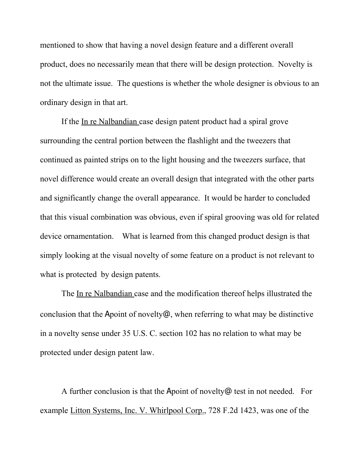mentioned to show that having a novel design feature and a different overall product, does no necessarily mean that there will be design protection. Novelty is not the ultimate issue. The questions is whether the whole designer is obvious to an ordinary design in that art.

If the In re Nalbandian case design patent product had a spiral grove surrounding the central portion between the flashlight and the tweezers that continued as painted strips on to the light housing and the tweezers surface, that novel difference would create an overall design that integrated with the other parts and significantly change the overall appearance. It would be harder to concluded that this visual combination was obvious, even if spiral grooving was old for related device ornamentation. What is learned from this changed product design is that simply looking at the visual novelty of some feature on a product is not relevant to what is protected by design patents.

The In re Nalbandian case and the modification thereof helps illustrated the conclusion that the Apoint of novelty@, when referring to what may be distinctive in a novelty sense under 35 U.S. C. section 102 has no relation to what may be protected under design patent law.

A further conclusion is that the Apoint of novelty@ test in not needed. For example Litton Systems, Inc. V. Whirlpool Corp., 728 F.2d 1423, was one of the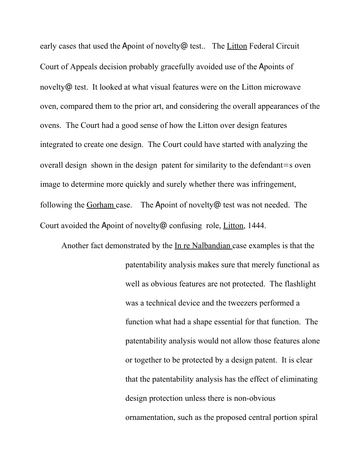early cases that used the Apoint of novelty@ test.. The Litton Federal Circuit Court of Appeals decision probably gracefully avoided use of the Apoints of novelty@ test. It looked at what visual features were on the Litton microwave oven, compared them to the prior art, and considering the overall appearances of the ovens. The Court had a good sense of how the Litton over design features integrated to create one design. The Court could have started with analyzing the overall design shown in the design patent for similarity to the defendant=s oven image to determine more quickly and surely whether there was infringement, following the Gorham case. The Apoint of novelty@ test was not needed. The Court avoided the Apoint of novelty@ confusing role, Litton, 1444.

Another fact demonstrated by the In re Nalbandian case examples is that the patentability analysis makes sure that merely functional as well as obvious features are not protected. The flashlight was a technical device and the tweezers performed a function what had a shape essential for that function. The patentability analysis would not allow those features alone or together to be protected by a design patent. It is clear that the patentability analysis has the effect of eliminating design protection unless there is non-obvious ornamentation, such as the proposed central portion spiral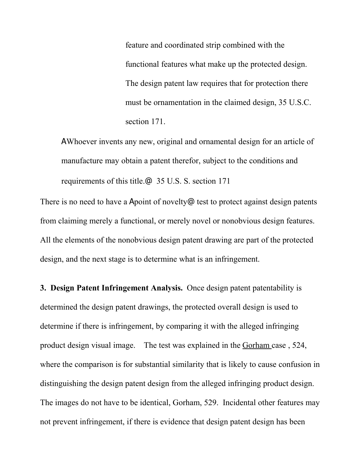feature and coordinated strip combined with the functional features what make up the protected design. The design patent law requires that for protection there must be ornamentation in the claimed design, 35 U.S.C. section 171.

AWhoever invents any new, original and ornamental design for an article of manufacture may obtain a patent therefor, subject to the conditions and requirements of this title.@ 35 U.S. S. section 171

There is no need to have a Apoint of novelty@ test to protect against design patents from claiming merely a functional, or merely novel or nonobvious design features. All the elements of the nonobvious design patent drawing are part of the protected design, and the next stage is to determine what is an infringement.

**3. Design Patent Infringement Analysis.** Once design patent patentability is determined the design patent drawings, the protected overall design is used to determine if there is infringement, by comparing it with the alleged infringing product design visual image. The test was explained in the Gorham case, 524, where the comparison is for substantial similarity that is likely to cause confusion in distinguishing the design patent design from the alleged infringing product design. The images do not have to be identical, Gorham, 529. Incidental other features may not prevent infringement, if there is evidence that design patent design has been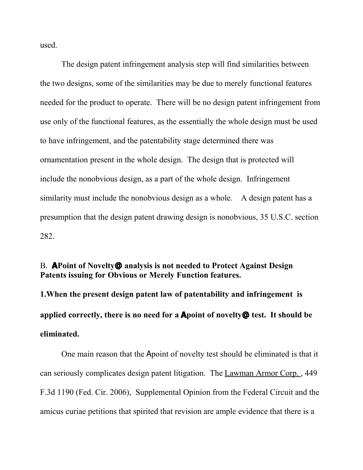used.

 The design patent infringement analysis step will find similarities between the two designs, some of the similarities may be due to merely functional features needed for the product to operate. There will be no design patent infringement from use only of the functional features, as the essentially the whole design must be used to have infringement, and the patentability stage determined there was ornamentation present in the whole design. The design that is protected will include the nonobvious design, as a part of the whole design. Infringement similarity must include the nonobvious design as a whole. A design patent has a presumption that the design patent drawing design is nonobvious, 35 U.S.C. section 282.

## B. **APoint of Novelty@ analysis is not needed to Protect Against Design Patents issuing for Obvious or Merely Function features.**

**1.When the present design patent law of patentability and infringement is applied correctly, there is no need for a Apoint of novelty@ test. It should be eliminated.** 

One main reason that the Apoint of novelty test should be eliminated is that it can seriously complicates design patent litigation. The Lawman Armor Corp. , 449 F.3d 1190 (Fed. Cir. 2006), Supplemental Opinion from the Federal Circuit and the amicus curiae petitions that spirited that revision are ample evidence that there is a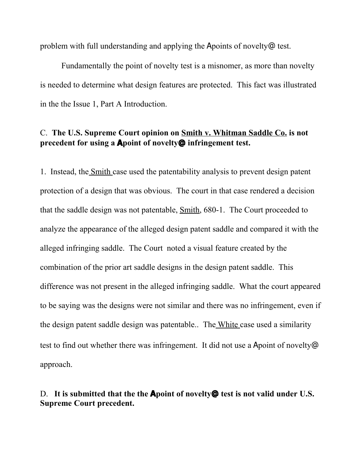problem with full understanding and applying the Apoints of novelty@ test.

Fundamentally the point of novelty test is a misnomer, as more than novelty is needed to determine what design features are protected. This fact was illustrated in the the Issue 1, Part A Introduction.

# C. **The U.S. Supreme Court opinion on Smith v. Whitman Saddle Co. is not precedent for using a Apoint of novelty@ infringement test.**

1. Instead, the Smith case used the patentability analysis to prevent design patent protection of a design that was obvious. The court in that case rendered a decision that the saddle design was not patentable, Smith, 680-1. The Court proceeded to analyze the appearance of the alleged design patent saddle and compared it with the alleged infringing saddle. The Court noted a visual feature created by the combination of the prior art saddle designs in the design patent saddle. This difference was not present in the alleged infringing saddle. What the court appeared to be saying was the designs were not similar and there was no infringement, even if the design patent saddle design was patentable.. The White case used a similarity test to find out whether there was infringement. It did not use a Apoint of novelty@ approach.

## D. **It is submitted that the the Apoint of novelty@ test is not valid under U.S. Supreme Court precedent.**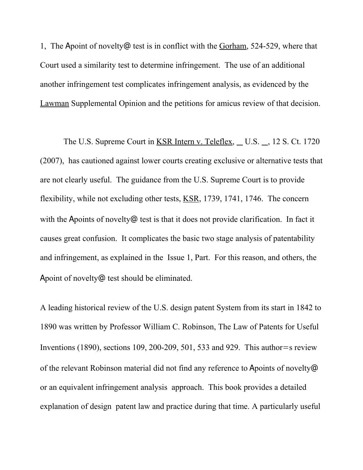1, The Apoint of novelty@ test is in conflict with the Gorham, 524-529, where that Court used a similarity test to determine infringement. The use of an additional another infringement test complicates infringement analysis, as evidenced by the Lawman Supplemental Opinion and the petitions for amicus review of that decision.

The U.S. Supreme Court in KSR Intern v. Teleflex, U.S. , 12 S. Ct. 1720 (2007), has cautioned against lower courts creating exclusive or alternative tests that are not clearly useful. The guidance from the U.S. Supreme Court is to provide flexibility, while not excluding other tests, KSR, 1739, 1741, 1746. The concern with the Apoints of novelty<sup> $@$ </sup> test is that it does not provide clarification. In fact it causes great confusion. It complicates the basic two stage analysis of patentability and infringement, as explained in the Issue 1, Part. For this reason, and others, the Apoint of novelty@ test should be eliminated.

A leading historical review of the U.S. design patent System from its start in 1842 to 1890 was written by Professor William C. Robinson, The Law of Patents for Useful Inventions (1890), sections 109, 200-209, 501, 533 and 929. This author=s review of the relevant Robinson material did not find any reference to Apoints of novelty@ or an equivalent infringement analysis approach. This book provides a detailed explanation of design patent law and practice during that time. A particularly useful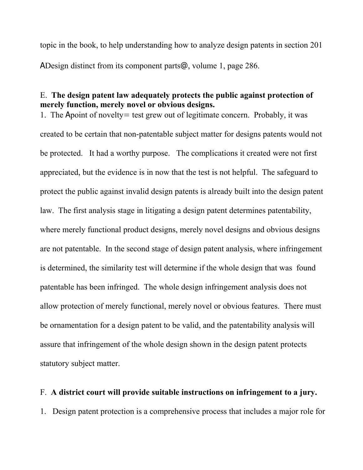topic in the book, to help understanding how to analyze design patents in section 201 ADesign distinct from its component parts@, volume 1, page 286.

## E. **The design patent law adequately protects the public against protection of merely function, merely novel or obvious designs.**

1.The Apoint of novelty= test grew out of legitimate concern. Probably, it was created to be certain that non-patentable subject matter for designs patents would not be protected. It had a worthy purpose. The complications it created were not first appreciated, but the evidence is in now that the test is not helpful. The safeguard to protect the public against invalid design patents is already built into the design patent law. The first analysis stage in litigating a design patent determines patentability, where merely functional product designs, merely novel designs and obvious designs are not patentable. In the second stage of design patent analysis, where infringement is determined, the similarity test will determine if the whole design that was found patentable has been infringed. The whole design infringement analysis does not allow protection of merely functional, merely novel or obvious features. There must be ornamentation for a design patent to be valid, and the patentability analysis will assure that infringement of the whole design shown in the design patent protects statutory subject matter.

# F. **A district court will provide suitable instructions on infringement to a jury.**

1. Design patent protection is a comprehensive process that includes a major role for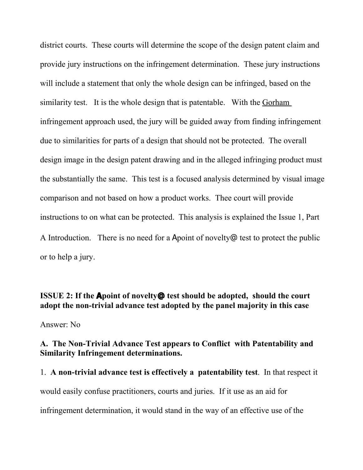district courts. These courts will determine the scope of the design patent claim and provide jury instructions on the infringement determination. These jury instructions will include a statement that only the whole design can be infringed, based on the similarity test. It is the whole design that is patentable. With the Gorham infringement approach used, the jury will be guided away from finding infringement due to similarities for parts of a design that should not be protected. The overall design image in the design patent drawing and in the alleged infringing product must the substantially the same. This test is a focused analysis determined by visual image comparison and not based on how a product works. Thee court will provide instructions to on what can be protected. This analysis is explained the Issue 1, Part A Introduction. There is no need for a Apoint of novelty@ test to protect the public or to help a jury.

**ISSUE 2: If the Apoint of novelty@ test should be adopted, should the court adopt the non-trivial advance test adopted by the panel majority in this case** Answer: No

**A. The Non-Trivial Advance Test appears to Conflict with Patentability and Similarity Infringement determinations.**

1. **A non-trivial advance test is effectively a patentability test**. In that respect it would easily confuse practitioners, courts and juries. If it use as an aid for infringement determination, it would stand in the way of an effective use of the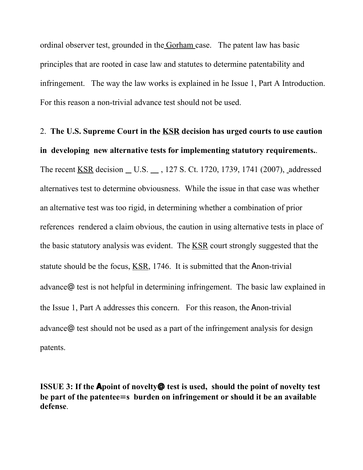ordinal observer test, grounded in the Gorham case. The patent law has basic principles that are rooted in case law and statutes to determine patentability and infringement. The way the law works is explained in he Issue 1, Part A Introduction. For this reason a non-trivial advance test should not be used.

2. **The U.S. Supreme Court in the KSR decision has urged courts to use caution in developing new alternative tests for implementing statutory requirements.**. The recent KSR decision \_ U.S. \_ , 127 S. Ct. 1720, 1739, 1741 (2007), addressed alternatives test to determine obviousness. While the issue in that case was whether an alternative test was too rigid, in determining whether a combination of prior references rendered a claim obvious, the caution in using alternative tests in place of the basic statutory analysis was evident. The KSR court strongly suggested that the statute should be the focus,  $KSR$ , 1746. It is submitted that the Anon-trivial advance@ test is not helpful in determining infringement. The basic law explained in the Issue 1, Part A addresses this concern. For this reason, the Anon-trivial advance@ test should not be used as a part of the infringement analysis for design patents.

**ISSUE 3: If the Apoint of novelty@ test is used, should the point of novelty test be part of the patentee**=**s burden on infringement or should it be an available defense**.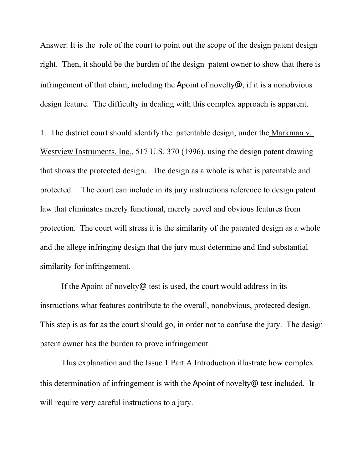Answer: It is the role of the court to point out the scope of the design patent design right. Then, it should be the burden of the design patent owner to show that there is infringement of that claim, including the Apoint of novelty@, if it is a nonobvious design feature. The difficulty in dealing with this complex approach is apparent.

1. The district court should identify the patentable design, under the Markman v. Westview Instruments, Inc., 517 U.S. 370 (1996), using the design patent drawing that shows the protected design. The design as a whole is what is patentable and protected. The court can include in its jury instructions reference to design patent law that eliminates merely functional, merely novel and obvious features from protection. The court will stress it is the similarity of the patented design as a whole and the allege infringing design that the jury must determine and find substantial similarity for infringement.

If the Apoint of novelty@ test is used, the court would address in its instructions what features contribute to the overall, nonobvious, protected design. This step is as far as the court should go, in order not to confuse the jury. The design patent owner has the burden to prove infringement.

This explanation and the Issue 1 Part A Introduction illustrate how complex this determination of infringement is with the Apoint of novelty@ test included. It will require very careful instructions to a jury.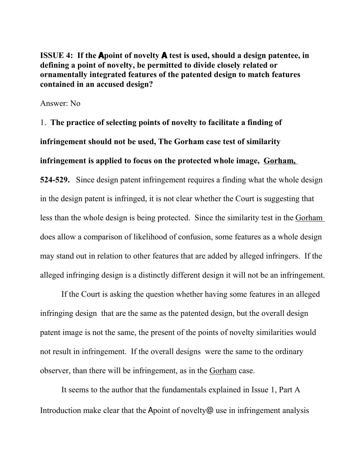**ISSUE 4: If the Apoint of novelty A test is used, should a design patentee, in defining a point of novelty, be permitted to divide closely related or ornamentally integrated features of the patented design to match features contained in an accused design?**

Answer: No

1. **The practice of selecting points of novelty to facilitate a finding of infringement should not be used, The Gorham case test of similarity infringement is applied to focus on the protected whole image, Gorham,**

**524-529.** Since design patent infringement requires a finding what the whole design in the design patent is infringed, it is not clear whether the Court is suggesting that less than the whole design is being protected. Since the similarity test in the Gorham does allow a comparison of likelihood of confusion, some features as a whole design may stand out in relation to other features that are added by alleged infringers. If the alleged infringing design is a distinctly different design it will not be an infringement.

If the Court is asking the question whether having some features in an alleged infringing design that are the same as the patented design, but the overall design patent image is not the same, the present of the points of novelty similarities would not result in infringement. If the overall designs were the same to the ordinary observer, than there will be infringement, as in the Gorham case.

It seems to the author that the fundamentals explained in Issue 1, Part A Introduction make clear that the Apoint of novelty@ use in infringement analysis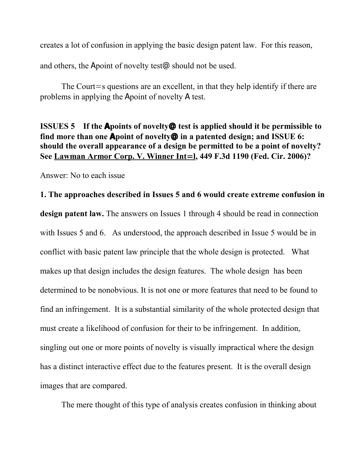creates a lot of confusion in applying the basic design patent law. For this reason,

and others, the Apoint of novelty test@ should not be used.

The Court=s questions are an excellent, in that they help identify if there are problems in applying the Apoint of novelty A test.

## **ISSUES 5 If the Apoints of novelty@ test is applied should it be permissible to find more than one Apoint of novelty@ in a patented design; and ISSUE 6: should the overall appearance of a design be permitted to be a point of novelty?** See Lawman Armor Corp. V. Winner Int=1, 449 F.3d 1190 (Fed. Cir. 2006)?

Answer: No to each issue

# **1. The approaches described in Issues 5 and 6 would create extreme confusion in**

**design patent law.** The answers on Issues 1 through 4 should be read in connection with Issues 5 and 6. As understood, the approach described in Issue 5 would be in conflict with basic patent law principle that the whole design is protected. What makes up that design includes the design features. The whole design has been determined to be nonobvious. It is not one or more features that need to be found to find an infringement. It is a substantial similarity of the whole protected design that must create a likelihood of confusion for their to be infringement. In addition, singling out one or more points of novelty is visually impractical where the design has a distinct interactive effect due to the features present. It is the overall design images that are compared.

The mere thought of this type of analysis creates confusion in thinking about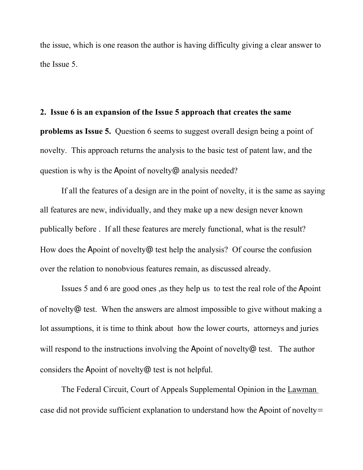the issue, which is one reason the author is having difficulty giving a clear answer to the Issue 5.

#### **2. Issue 6 is an expansion of the Issue 5 approach that creates the same**

**problems as Issue 5.** Question 6 seems to suggest overall design being a point of novelty. This approach returns the analysis to the basic test of patent law, and the question is why is the Apoint of novelty@ analysis needed?

If all the features of a design are in the point of novelty, it is the same as saying all features are new, individually, and they make up a new design never known publically before . If all these features are merely functional, what is the result? How does the Apoint of novelty@ test help the analysis? Of course the confusion over the relation to nonobvious features remain, as discussed already.

Issues 5 and 6 are good ones ,as they help us to test the real role of the Apoint of novelty@ test. When the answers are almost impossible to give without making a lot assumptions, it is time to think about how the lower courts, attorneys and juries will respond to the instructions involving the Apoint of novelty<sup> $@$ </sup> test. The author considers the Apoint of novelty@ test is not helpful.

The Federal Circuit, Court of Appeals Supplemental Opinion in the Lawman case did not provide sufficient explanation to understand how the Apoint of novelty=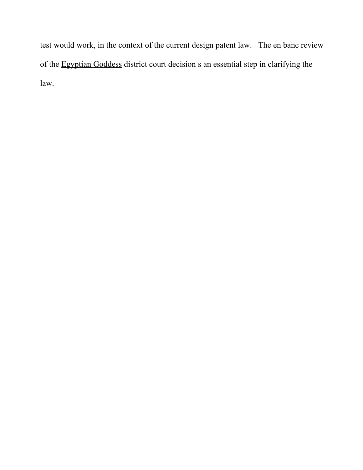test would work, in the context of the current design patent law. The en banc review of the Egyptian Goddess district court decision s an essential step in clarifying the law.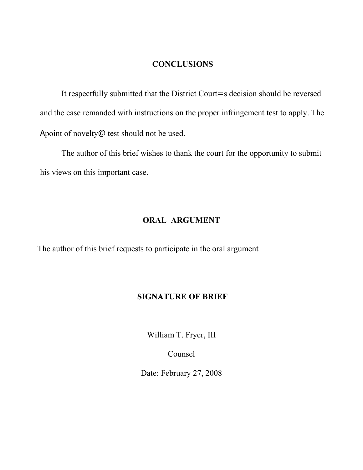## **CONCLUSIONS**

It respectfully submitted that the District Court=s decision should be reversed and the case remanded with instructions on the proper infringement test to apply. The Apoint of novelty@ test should not be used.

The author of this brief wishes to thank the court for the opportunity to submit his views on this important case.

## **ORAL ARGUMENT**

The author of this brief requests to participate in the oral argument

 $\overline{a}$ 

#### **SIGNATURE OF BRIEF**

William T. Fryer, III

Counsel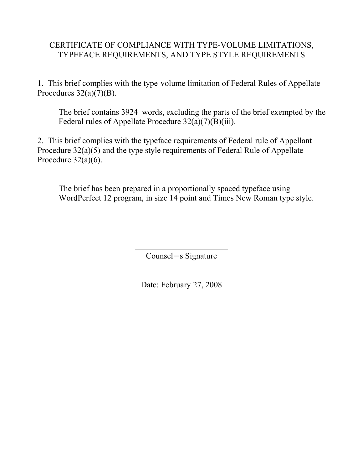# CERTIFICATE OF COMPLIANCE WITH TYPE-VOLUME LIMITATIONS, TYPEFACE REQUIREMENTS, AND TYPE STYLE REQUIREMENTS

1. This brief complies with the type-volume limitation of Federal Rules of Appellate Procedures  $32(a)(7)(B)$ .

The brief contains 3924 words, excluding the parts of the brief exempted by the Federal rules of Appellate Procedure 32(a)(7)(B)(iii).

2. This brief complies with the typeface requirements of Federal rule of Appellant Procedure 32(a)(5) and the type style requirements of Federal Rule of Appellate Procedure  $32(a)(6)$ .

The brief has been prepared in a proportionally spaced typeface using WordPerfect 12 program, in size 14 point and Times New Roman type style.

Counsel=s Signature

 $\overline{a}$